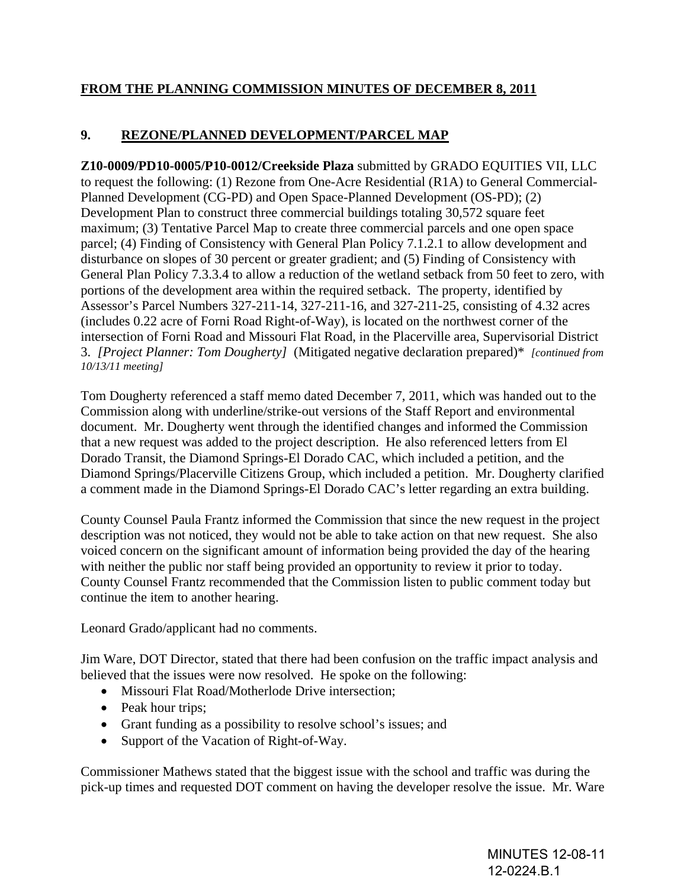## **FROM THE PLANNING COMMISSION MINUTES OF DECEMBER 8, 2011**

## **9. REZONE/PLANNED DEVELOPMENT/PARCEL MAP**

**Z10-0009/PD10-0005/P10-0012/Creekside Plaza** submitted by GRADO EQUITIES VII, LLC to request the following: (1) Rezone from One-Acre Residential (R1A) to General Commercial-Planned Development (CG-PD) and Open Space-Planned Development (OS-PD); (2) Development Plan to construct three commercial buildings totaling 30,572 square feet maximum; (3) Tentative Parcel Map to create three commercial parcels and one open space parcel; (4) Finding of Consistency with General Plan Policy 7.1.2.1 to allow development and disturbance on slopes of 30 percent or greater gradient; and (5) Finding of Consistency with General Plan Policy 7.3.3.4 to allow a reduction of the wetland setback from 50 feet to zero, with portions of the development area within the required setback. The property, identified by Assessor's Parcel Numbers 327-211-14, 327-211-16, and 327-211-25, consisting of 4.32 acres (includes 0.22 acre of Forni Road Right-of-Way), is located on the northwest corner of the intersection of Forni Road and Missouri Flat Road, in the Placerville area, Supervisorial District 3. *[Project Planner: Tom Dougherty]* (Mitigated negative declaration prepared)\* *[continued from 10/13/11 meeting]*

Tom Dougherty referenced a staff memo dated December 7, 2011, which was handed out to the Commission along with underline/strike-out versions of the Staff Report and environmental document. Mr. Dougherty went through the identified changes and informed the Commission that a new request was added to the project description. He also referenced letters from El Dorado Transit, the Diamond Springs-El Dorado CAC, which included a petition, and the Diamond Springs/Placerville Citizens Group, which included a petition. Mr. Dougherty clarified a comment made in the Diamond Springs-El Dorado CAC's letter regarding an extra building.

County Counsel Paula Frantz informed the Commission that since the new request in the project description was not noticed, they would not be able to take action on that new request. She also voiced concern on the significant amount of information being provided the day of the hearing with neither the public nor staff being provided an opportunity to review it prior to today. County Counsel Frantz recommended that the Commission listen to public comment today but continue the item to another hearing.

Leonard Grado/applicant had no comments.

Jim Ware, DOT Director, stated that there had been confusion on the traffic impact analysis and believed that the issues were now resolved. He spoke on the following:

- Missouri Flat Road/Motherlode Drive intersection;
- Peak hour trips;
- Grant funding as a possibility to resolve school's issues; and
- Support of the Vacation of Right-of-Way.

Commissioner Mathews stated that the biggest issue with the school and traffic was during the pick-up times and requested DOT comment on having the developer resolve the issue. Mr. Ware

> MINUTES 12-08-11 12-0224.B.1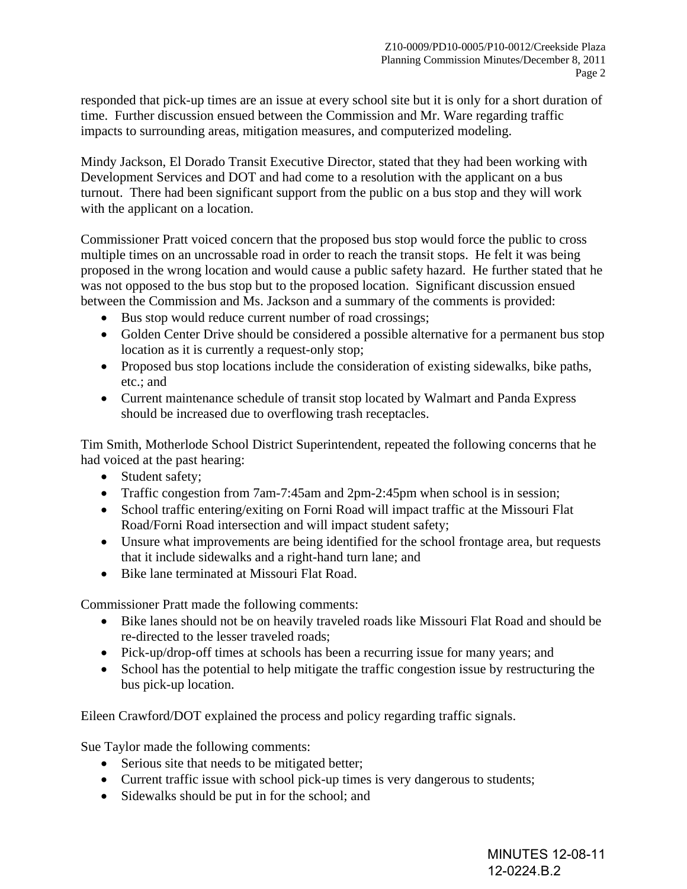responded that pick-up times are an issue at every school site but it is only for a short duration of time. Further discussion ensued between the Commission and Mr. Ware regarding traffic impacts to surrounding areas, mitigation measures, and computerized modeling.

Mindy Jackson, El Dorado Transit Executive Director, stated that they had been working with Development Services and DOT and had come to a resolution with the applicant on a bus turnout. There had been significant support from the public on a bus stop and they will work with the applicant on a location.

Commissioner Pratt voiced concern that the proposed bus stop would force the public to cross multiple times on an uncrossable road in order to reach the transit stops. He felt it was being proposed in the wrong location and would cause a public safety hazard. He further stated that he was not opposed to the bus stop but to the proposed location. Significant discussion ensued between the Commission and Ms. Jackson and a summary of the comments is provided:

- Bus stop would reduce current number of road crossings;
- Golden Center Drive should be considered a possible alternative for a permanent bus stop location as it is currently a request-only stop;
- Proposed bus stop locations include the consideration of existing sidewalks, bike paths, etc.; and
- Current maintenance schedule of transit stop located by Walmart and Panda Express should be increased due to overflowing trash receptacles.

Tim Smith, Motherlode School District Superintendent, repeated the following concerns that he had voiced at the past hearing:

- Student safety;
- Traffic congestion from 7am-7:45am and 2pm-2:45pm when school is in session;
- School traffic entering/exiting on Forni Road will impact traffic at the Missouri Flat Road/Forni Road intersection and will impact student safety;
- Unsure what improvements are being identified for the school frontage area, but requests that it include sidewalks and a right-hand turn lane; and
- Bike lane terminated at Missouri Flat Road.

Commissioner Pratt made the following comments:

- Bike lanes should not be on heavily traveled roads like Missouri Flat Road and should be re-directed to the lesser traveled roads;
- Pick-up/drop-off times at schools has been a recurring issue for many years; and
- School has the potential to help mitigate the traffic congestion issue by restructuring the bus pick-up location.

Eileen Crawford/DOT explained the process and policy regarding traffic signals.

Sue Taylor made the following comments:

- Serious site that needs to be mitigated better;
- Current traffic issue with school pick-up times is very dangerous to students;
- Sidewalks should be put in for the school; and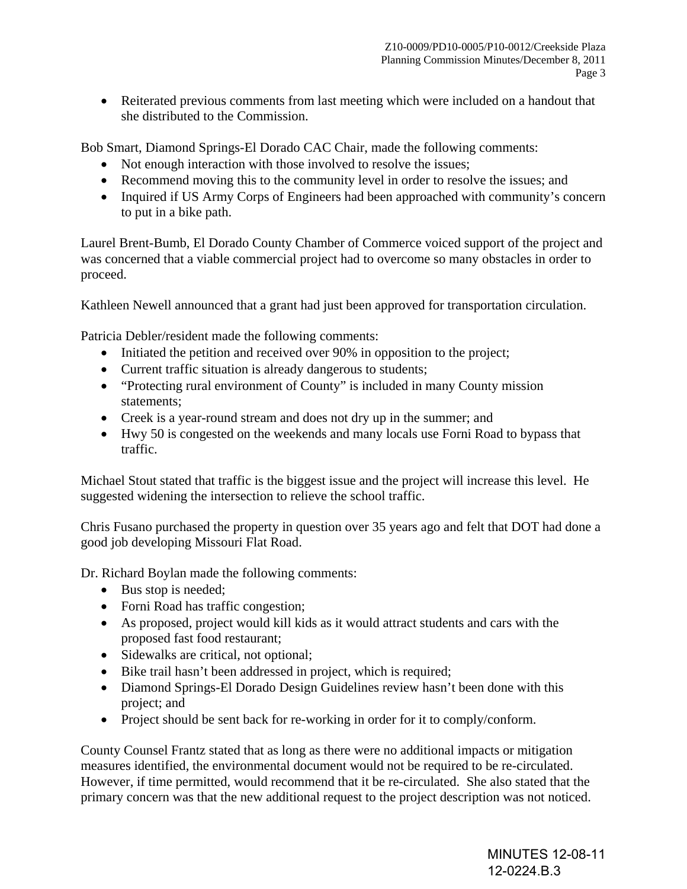• Reiterated previous comments from last meeting which were included on a handout that she distributed to the Commission.

Bob Smart, Diamond Springs-El Dorado CAC Chair, made the following comments:

- Not enough interaction with those involved to resolve the issues;
- Recommend moving this to the community level in order to resolve the issues; and
- Inquired if US Army Corps of Engineers had been approached with community's concern to put in a bike path.

Laurel Brent-Bumb, El Dorado County Chamber of Commerce voiced support of the project and was concerned that a viable commercial project had to overcome so many obstacles in order to proceed.

Kathleen Newell announced that a grant had just been approved for transportation circulation.

Patricia Debler/resident made the following comments:

- Initiated the petition and received over 90% in opposition to the project;
- Current traffic situation is already dangerous to students;
- "Protecting rural environment of County" is included in many County mission statements;
- Creek is a year-round stream and does not dry up in the summer; and
- Hwy 50 is congested on the weekends and many locals use Forni Road to bypass that traffic.

Michael Stout stated that traffic is the biggest issue and the project will increase this level. He suggested widening the intersection to relieve the school traffic.

Chris Fusano purchased the property in question over 35 years ago and felt that DOT had done a good job developing Missouri Flat Road.

Dr. Richard Boylan made the following comments:

- Bus stop is needed;
- Forni Road has traffic congestion;
- As proposed, project would kill kids as it would attract students and cars with the proposed fast food restaurant;
- Sidewalks are critical, not optional;
- Bike trail hasn't been addressed in project, which is required;
- Diamond Springs-El Dorado Design Guidelines review hasn't been done with this project; and
- Project should be sent back for re-working in order for it to comply/conform.

County Counsel Frantz stated that as long as there were no additional impacts or mitigation measures identified, the environmental document would not be required to be re-circulated. However, if time permitted, would recommend that it be re-circulated. She also stated that the primary concern was that the new additional request to the project description was not noticed.